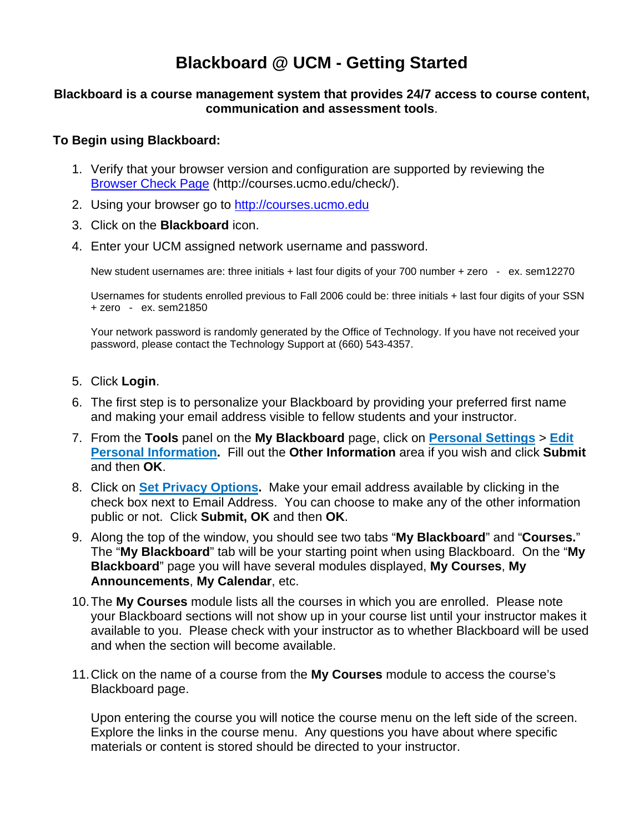## **Blackboard @ UCM - Getting Started**

## **Blackboard is a course management system that provides 24/7 access to course content, communication and assessment tools**.

## **To Begin using Blackboard:**

- 1. Verify that your browser version and configuration are supported by reviewing the [Browser Check Page](http://courses.ucmo.edu/check) (http://courses.ucmo.edu/check/).
- 2. Using your browser go to [http://courses.ucmo.edu](http://courses.ucmo.edu/)
- 3. Click on the **Blackboard** icon.
- 4. Enter your UCM assigned network username and password.

New student usernames are: three initials + last four digits of your 700 number + zero - ex. sem12270

Usernames for students enrolled previous to Fall 2006 could be: three initials + last four digits of your SSN + zero - ex. sem21850

Your network password is randomly generated by the Office of Technology. If you have not received your password, please contact the Technology Support at (660) 543-4357.

- 5. Click **Login**.
- 6. The first step is to personalize your Blackboard by providing your preferred first name and making your email address visible to fellow students and your instructor.
- 7. From the **Tools** panel on the **My Blackboard** page, click on **Personal Settings** > **Edit Personal Information.** Fill out the **Other Information** area if you wish and click **Submit** and then **OK**.
- 8. Click on **Set Privacy Options.** Make your email address available by clicking in the check box next to Email Address. You can choose to make any of the other information public or not. Click **Submit, OK** and then **OK**.
- 9. Along the top of the window, you should see two tabs "**My Blackboard**" and "**Courses.**" The "**My Blackboard**" tab will be your starting point when using Blackboard. On the "**My Blackboard**" page you will have several modules displayed, **My Courses**, **My Announcements**, **My Calendar**, etc.
- 10. The **My Courses** module lists all the courses in which you are enrolled. Please note your Blackboard sections will not show up in your course list until your instructor makes it available to you. Please check with your instructor as to whether Blackboard will be used and when the section will become available.
- 11. Click on the name of a course from the **My Courses** module to access the course's Blackboard page.

Upon entering the course you will notice the course menu on the left side of the screen. Explore the links in the course menu. Any questions you have about where specific materials or content is stored should be directed to your instructor.